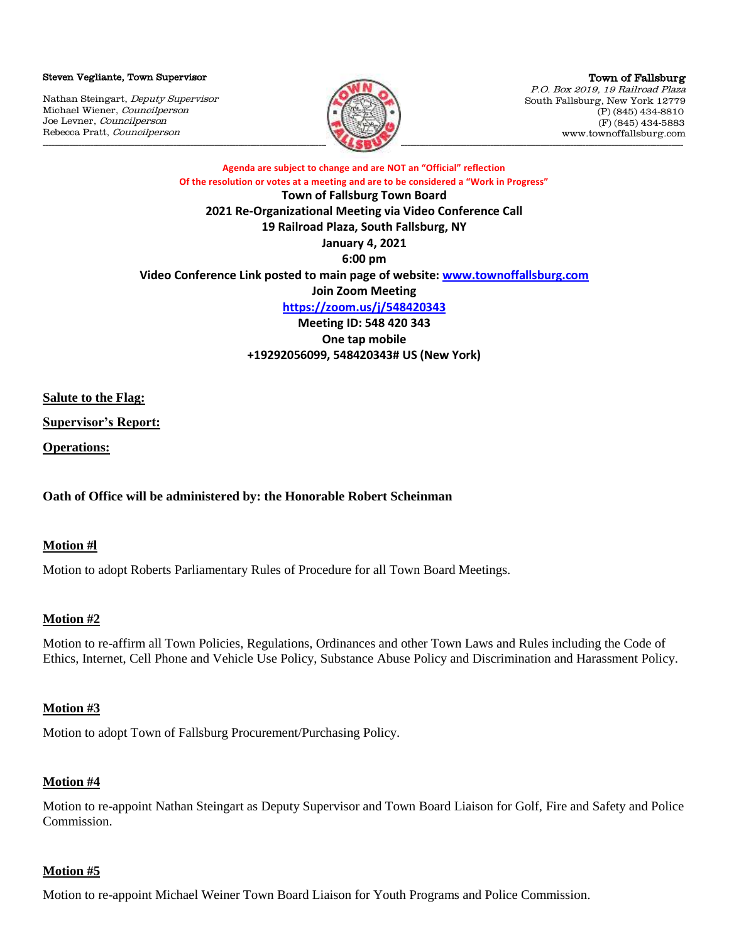#### Steven Vegliante, Town Supervisor

Nathan Steingart, Deputy Supervisor Michael Wiener, Councilperson Joe Levner, Councilperson Rebecca Pratt, Councilperson



Town of Fallsburg P.O. Box 2019, 19 Railroad Plaza South Fallsburg, New York 12779 (P) (845) 434-8810 (F) (845) 434-5883 www.townoffallsburg.com

**Agenda are subject to change and are NOT an "Official" reflection Of the resolution or votes at a meeting and are to be considered a "Work in Progress" Town of Fallsburg Town Board 2021 Re-Organizational Meeting via Video Conference Call 19 Railroad Plaza, South Fallsburg, NY January 4, 2021 6:00 pm Video Conference Link posted to main page of website: [www.townoffallsburg.com](http://www.townoffallsburg.com/) Join Zoom Meeting <https://zoom.us/j/548420343> Meeting ID: 548 420 343 One tap mobile +19292056099, 548420343# US (New York)**

**Salute to the Flag:**

**Supervisor's Report:**

**Operations:** 

**Oath of Office will be administered by: the Honorable Robert Scheinman**

#### **Motion #l**

Motion to adopt Roberts Parliamentary Rules of Procedure for all Town Board Meetings.

### **Motion #2**

Motion to re-affirm all Town Policies, Regulations, Ordinances and other Town Laws and Rules including the Code of Ethics, Internet, Cell Phone and Vehicle Use Policy, Substance Abuse Policy and Discrimination and Harassment Policy.

### **Motion #3**

Motion to adopt Town of Fallsburg Procurement/Purchasing Policy.

#### **Motion #4**

Motion to re-appoint Nathan Steingart as Deputy Supervisor and Town Board Liaison for Golf, Fire and Safety and Police **Commission** 

#### **Motion #5**

Motion to re-appoint Michael Weiner Town Board Liaison for Youth Programs and Police Commission.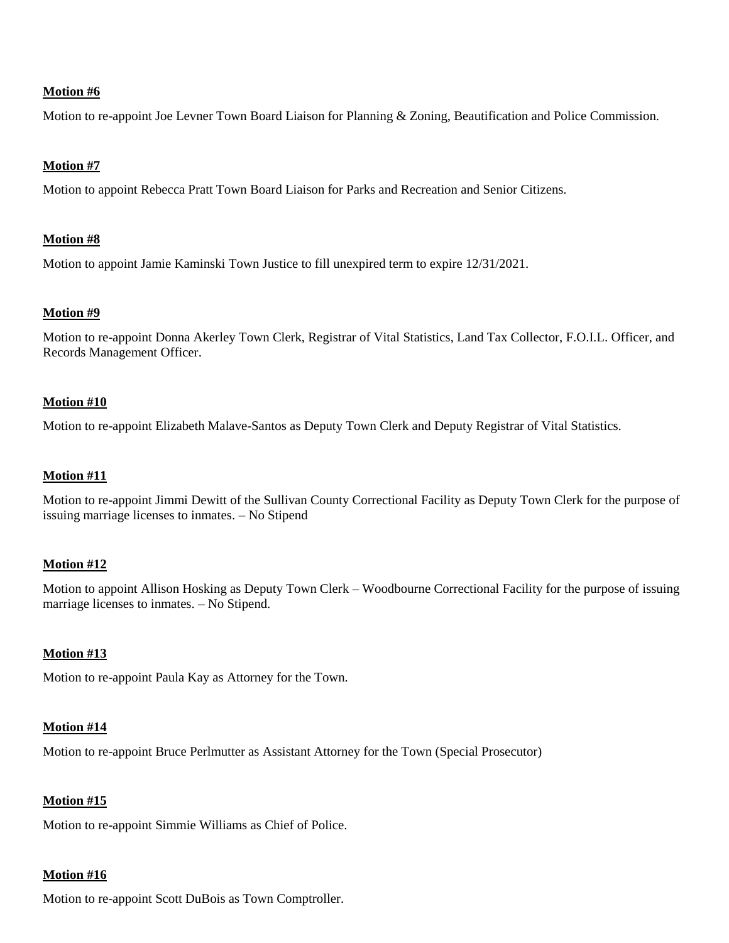Motion to re-appoint Joe Levner Town Board Liaison for Planning & Zoning, Beautification and Police Commission.

# **Motion #7**

Motion to appoint Rebecca Pratt Town Board Liaison for Parks and Recreation and Senior Citizens.

# **Motion #8**

Motion to appoint Jamie Kaminski Town Justice to fill unexpired term to expire 12/31/2021.

### **Motion #9**

Motion to re-appoint Donna Akerley Town Clerk, Registrar of Vital Statistics, Land Tax Collector, F.O.I.L. Officer, and Records Management Officer.

# **Motion #10**

Motion to re-appoint Elizabeth Malave-Santos as Deputy Town Clerk and Deputy Registrar of Vital Statistics.

# **Motion #11**

Motion to re-appoint Jimmi Dewitt of the Sullivan County Correctional Facility as Deputy Town Clerk for the purpose of issuing marriage licenses to inmates. – No Stipend

### **Motion #12**

Motion to appoint Allison Hosking as Deputy Town Clerk – Woodbourne Correctional Facility for the purpose of issuing marriage licenses to inmates. – No Stipend.

# **Motion #13**

Motion to re-appoint Paula Kay as Attorney for the Town.

### **Motion #14**

Motion to re-appoint Bruce Perlmutter as Assistant Attorney for the Town (Special Prosecutor)

### **Motion #15**

Motion to re-appoint Simmie Williams as Chief of Police.

### **Motion #16**

Motion to re-appoint Scott DuBois as Town Comptroller.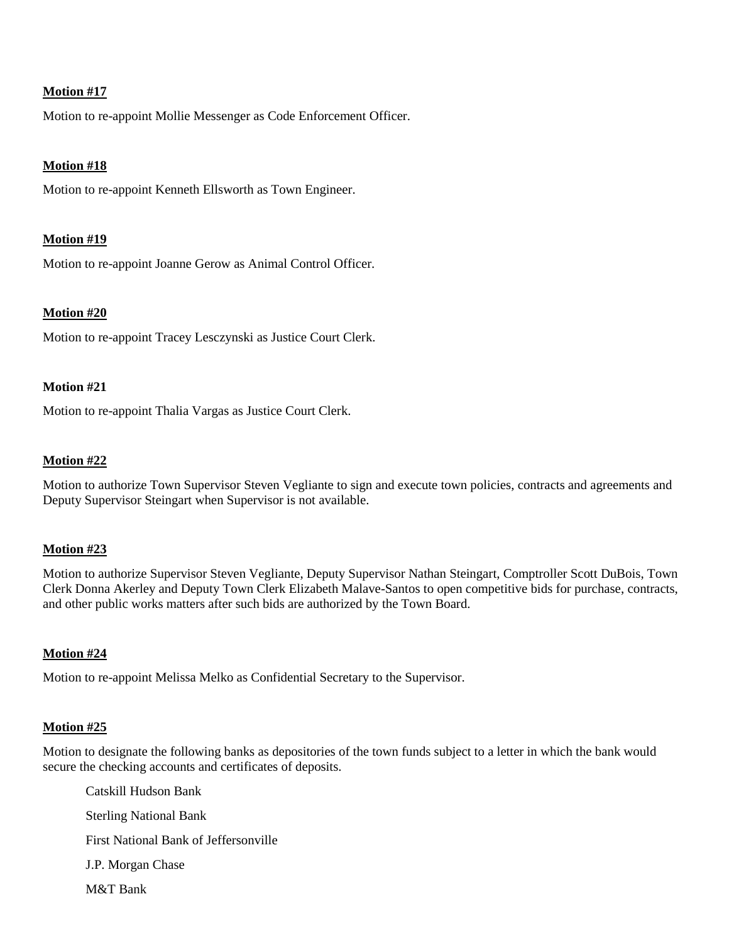Motion to re-appoint Mollie Messenger as Code Enforcement Officer.

### **Motion #18**

Motion to re-appoint Kenneth Ellsworth as Town Engineer.

#### **Motion #19**

Motion to re-appoint Joanne Gerow as Animal Control Officer.

#### **Motion #20**

Motion to re-appoint Tracey Lesczynski as Justice Court Clerk.

#### **Motion #21**

Motion to re-appoint Thalia Vargas as Justice Court Clerk.

#### **Motion #22**

Motion to authorize Town Supervisor Steven Vegliante to sign and execute town policies, contracts and agreements and Deputy Supervisor Steingart when Supervisor is not available.

### **Motion #23**

Motion to authorize Supervisor Steven Vegliante, Deputy Supervisor Nathan Steingart, Comptroller Scott DuBois, Town Clerk Donna Akerley and Deputy Town Clerk Elizabeth Malave-Santos to open competitive bids for purchase, contracts, and other public works matters after such bids are authorized by the Town Board.

### **Motion #24**

Motion to re-appoint Melissa Melko as Confidential Secretary to the Supervisor.

### **Motion #25**

Motion to designate the following banks as depositories of the town funds subject to a letter in which the bank would secure the checking accounts and certificates of deposits.

Catskill Hudson Bank Sterling National Bank First National Bank of Jeffersonville J.P. Morgan Chase M&T Bank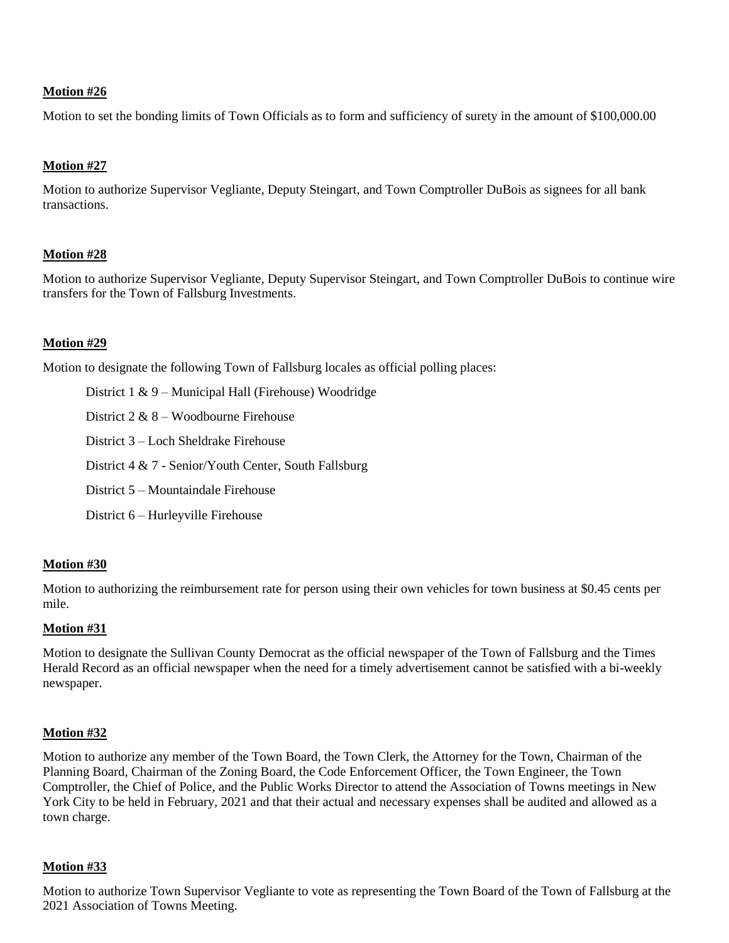Motion to set the bonding limits of Town Officials as to form and sufficiency of surety in the amount of \$100,000.00

### **Motion #27**

Motion to authorize Supervisor Vegliante, Deputy Steingart, and Town Comptroller DuBois as signees for all bank transactions.

### **Motion #28**

Motion to authorize Supervisor Vegliante, Deputy Supervisor Steingart, and Town Comptroller DuBois to continue wire transfers for the Town of Fallsburg Investments.

# **Motion #29**

Motion to designate the following Town of Fallsburg locales as official polling places:

District 1 & 9 – Municipal Hall (Firehouse) Woodridge

District 2 & 8 – Woodbourne Firehouse

District 3 – Loch Sheldrake Firehouse

- District 4 & 7 Senior/Youth Center, South Fallsburg
- District 5 Mountaindale Firehouse
- District 6 Hurleyville Firehouse

### **Motion #30**

Motion to authorizing the reimbursement rate for person using their own vehicles for town business at \$0.45 cents per mile.

### **Motion #31**

Motion to designate the Sullivan County Democrat as the official newspaper of the Town of Fallsburg and the Times Herald Record as an official newspaper when the need for a timely advertisement cannot be satisfied with a bi-weekly newspaper.

# **Motion #32**

Motion to authorize any member of the Town Board, the Town Clerk, the Attorney for the Town, Chairman of the Planning Board, Chairman of the Zoning Board, the Code Enforcement Officer, the Town Engineer, the Town Comptroller, the Chief of Police, and the Public Works Director to attend the Association of Towns meetings in New York City to be held in February, 2021 and that their actual and necessary expenses shall be audited and allowed as a town charge.

### **Motion #33**

Motion to authorize Town Supervisor Vegliante to vote as representing the Town Board of the Town of Fallsburg at the 2021 Association of Towns Meeting.